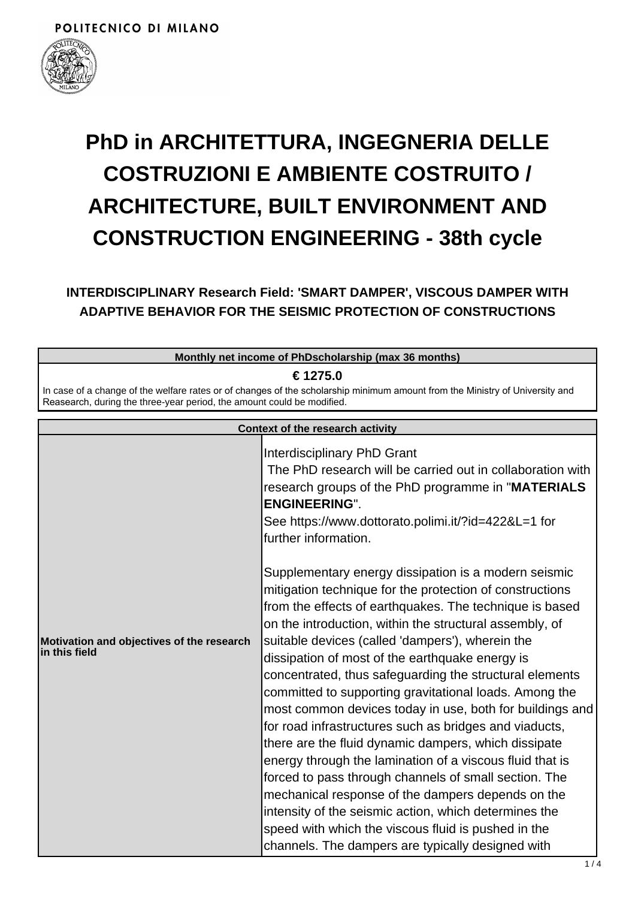

# **PhD in ARCHITETTURA, INGEGNERIA DELLE COSTRUZIONI E AMBIENTE COSTRUITO / ARCHITECTURE, BUILT ENVIRONMENT AND CONSTRUCTION ENGINEERING - 38th cycle**

**INTERDISCIPLINARY Research Field: 'SMART DAMPER', VISCOUS DAMPER WITH ADAPTIVE BEHAVIOR FOR THE SEISMIC PROTECTION OF CONSTRUCTIONS**

**Monthly net income of PhDscholarship (max 36 months)**

**€ 1275.0**

In case of a change of the welfare rates or of changes of the scholarship minimum amount from the Ministry of University and Reasearch, during the three-year period, the amount could be modified.

|                                                            | <b>Context of the research activity</b>                                                                                                                                                                                                                                                                                                                                                                                                                                                                                                                                                                                                                                                                                                                                                                                                                                                                                                                                                         |
|------------------------------------------------------------|-------------------------------------------------------------------------------------------------------------------------------------------------------------------------------------------------------------------------------------------------------------------------------------------------------------------------------------------------------------------------------------------------------------------------------------------------------------------------------------------------------------------------------------------------------------------------------------------------------------------------------------------------------------------------------------------------------------------------------------------------------------------------------------------------------------------------------------------------------------------------------------------------------------------------------------------------------------------------------------------------|
|                                                            | Interdisciplinary PhD Grant<br>The PhD research will be carried out in collaboration with<br>research groups of the PhD programme in "MATERIALS<br><b>ENGINEERING".</b><br>See https://www.dottorato.polimi.it/?id=422&L=1 for<br>further information.                                                                                                                                                                                                                                                                                                                                                                                                                                                                                                                                                                                                                                                                                                                                          |
| Motivation and objectives of the research<br>in this field | Supplementary energy dissipation is a modern seismic<br>mitigation technique for the protection of constructions<br>from the effects of earthquakes. The technique is based<br>on the introduction, within the structural assembly, of<br>suitable devices (called 'dampers'), wherein the<br>dissipation of most of the earthquake energy is<br>concentrated, thus safeguarding the structural elements<br>committed to supporting gravitational loads. Among the<br>most common devices today in use, both for buildings and<br>for road infrastructures such as bridges and viaducts,<br>there are the fluid dynamic dampers, which dissipate<br>energy through the lamination of a viscous fluid that is<br>forced to pass through channels of small section. The<br>mechanical response of the dampers depends on the<br>intensity of the seismic action, which determines the<br>speed with which the viscous fluid is pushed in the<br>channels. The dampers are typically designed with |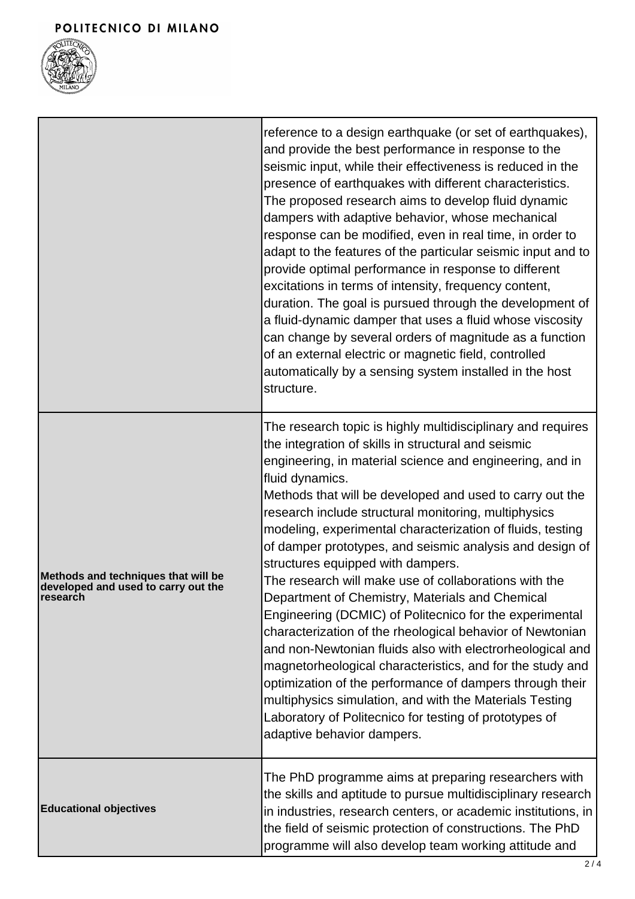

|                                                                                                | reference to a design earthquake (or set of earthquakes),<br>and provide the best performance in response to the<br>seismic input, while their effectiveness is reduced in the<br>presence of earthquakes with different characteristics.<br>The proposed research aims to develop fluid dynamic<br>dampers with adaptive behavior, whose mechanical<br>response can be modified, even in real time, in order to<br>adapt to the features of the particular seismic input and to<br>provide optimal performance in response to different<br>excitations in terms of intensity, frequency content,<br>duration. The goal is pursued through the development of<br>a fluid-dynamic damper that uses a fluid whose viscosity<br>can change by several orders of magnitude as a function<br>of an external electric or magnetic field, controlled<br>automatically by a sensing system installed in the host<br>structure.                                                                                                                                            |
|------------------------------------------------------------------------------------------------|-------------------------------------------------------------------------------------------------------------------------------------------------------------------------------------------------------------------------------------------------------------------------------------------------------------------------------------------------------------------------------------------------------------------------------------------------------------------------------------------------------------------------------------------------------------------------------------------------------------------------------------------------------------------------------------------------------------------------------------------------------------------------------------------------------------------------------------------------------------------------------------------------------------------------------------------------------------------------------------------------------------------------------------------------------------------|
| Methods and techniques that will be<br>developed and used to carry out the<br><b>Iresearch</b> | The research topic is highly multidisciplinary and requires<br>the integration of skills in structural and seismic<br>engineering, in material science and engineering, and in<br>fluid dynamics.<br>Methods that will be developed and used to carry out the<br>research include structural monitoring, multiphysics<br>modeling, experimental characterization of fluids, testing<br>of damper prototypes, and seismic analysis and design of<br>structures equipped with dampers.<br>The research will make use of collaborations with the<br>Department of Chemistry, Materials and Chemical<br>Engineering (DCMIC) of Politecnico for the experimental<br>characterization of the rheological behavior of Newtonian<br>and non-Newtonian fluids also with electrorheological and<br>magnetorheological characteristics, and for the study and<br>optimization of the performance of dampers through their<br>multiphysics simulation, and with the Materials Testing<br>Laboratory of Politecnico for testing of prototypes of<br>adaptive behavior dampers. |
| <b>Educational objectives</b>                                                                  | The PhD programme aims at preparing researchers with<br>the skills and aptitude to pursue multidisciplinary research<br>in industries, research centers, or academic institutions, in<br>the field of seismic protection of constructions. The PhD<br>programme will also develop team working attitude and                                                                                                                                                                                                                                                                                                                                                                                                                                                                                                                                                                                                                                                                                                                                                       |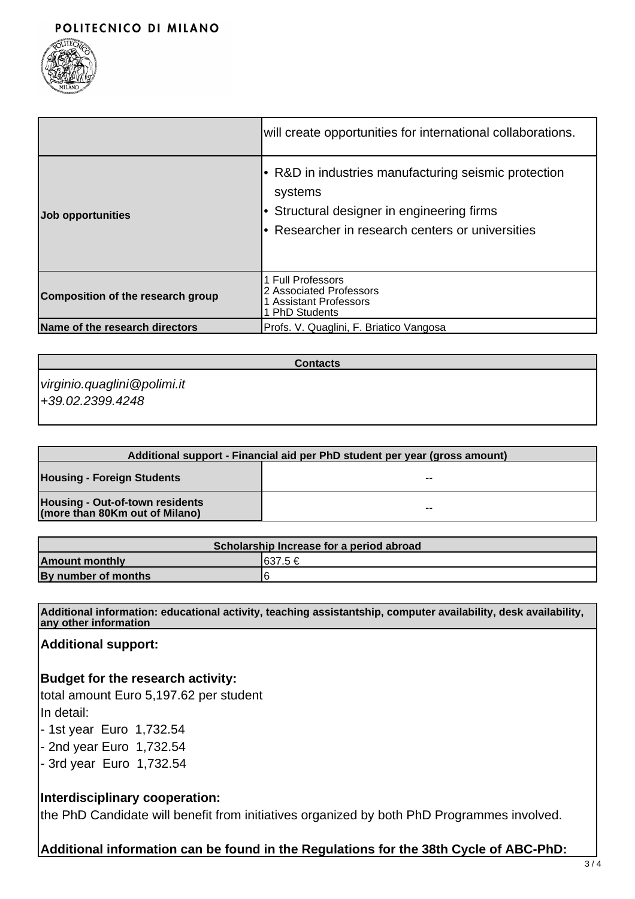

|                                   | will create opportunities for international collaborations.                                                                                                 |
|-----------------------------------|-------------------------------------------------------------------------------------------------------------------------------------------------------------|
| Job opportunities                 | R&D in industries manufacturing seismic protection<br>systems<br>Structural designer in engineering firms<br>Researcher in research centers or universities |
| Composition of the research group | 1 Full Professors<br>2 Associated Professors<br>1 Assistant Professors<br>1 PhD Students                                                                    |
| Name of the research directors    | Profs. V. Quaglini, F. Briatico Vangosa                                                                                                                     |

**Contacts**

virginio.quaglini@polimi.it +39.02.2399.4248

| Additional support - Financial aid per PhD student per year (gross amount) |       |  |
|----------------------------------------------------------------------------|-------|--|
| <b>Housing - Foreign Students</b>                                          | --    |  |
| Housing - Out-of-town residents<br>(more than 80Km out of Milano)          | $- -$ |  |

| Scholarship Increase for a period abroad |          |  |
|------------------------------------------|----------|--|
| <b>Amount monthly</b>                    | 1637.5 € |  |
| By number of months                      |          |  |

**Additional information: educational activity, teaching assistantship, computer availability, desk availability, any other information**

**Additional support:**

**Budget for the research activity:**

total amount Euro 5,197.62 per student In detail:

- 1st year Euro 1,732.54

- 2nd year Euro 1,732.54

- 3rd year Euro 1,732.54

## **Interdisciplinary cooperation:**

the PhD Candidate will benefit from initiatives organized by both PhD Programmes involved.

# **Additional information can be found in the Regulations for the 38th Cycle of ABC-PhD:**